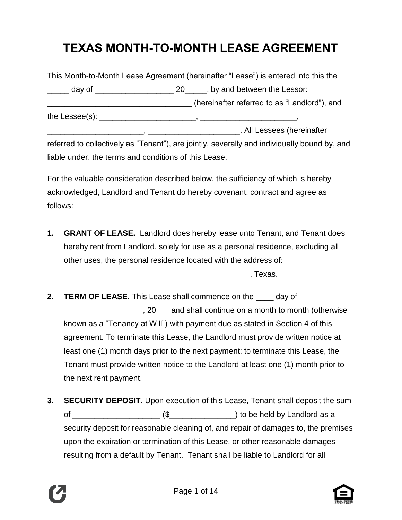# **TEXAS MONTH-TO-MONTH LEASE AGREEMENT**

|  | This Month-to-Month Lease Agreement (hereinafter "Lease") is entered into this the                                                                                                                                                  |                                                                                          |  |
|--|-------------------------------------------------------------------------------------------------------------------------------------------------------------------------------------------------------------------------------------|------------------------------------------------------------------------------------------|--|
|  |                                                                                                                                                                                                                                     | $\frac{1}{1}$ day of $\frac{1}{1}$ assemblance and $\frac{1}{1}$ and between the Lessor: |  |
|  |                                                                                                                                                                                                                                     | (hereinafter referred to as "Landlord"), and                                             |  |
|  |                                                                                                                                                                                                                                     |                                                                                          |  |
|  |                                                                                                                                                                                                                                     | . All Lessees (hereinafter                                                               |  |
|  | $\epsilon$ is a contract to the contract of the contract of the contract of the contract of the contract of the contract of the contract of the contract of the contract of the contract of the contract of the contract of the con |                                                                                          |  |

referred to collectively as "Tenant"), are jointly, severally and individually bound by, and liable under, the terms and conditions of this Lease.

For the valuable consideration described below, the sufficiency of which is hereby acknowledged, Landlord and Tenant do hereby covenant, contract and agree as follows:

**1. GRANT OF LEASE.** Landlord does hereby lease unto Tenant, and Tenant does hereby rent from Landlord, solely for use as a personal residence, excluding all other uses, the personal residence located with the address of:

 $\blacksquare$  , Texas.

- **2. TERM OF LEASE.** This Lease shall commence on the \_\_\_\_ day of \_\_\_\_\_\_\_\_\_\_\_\_\_\_\_\_\_\_, 20\_\_\_ and shall continue on a month to month (otherwise known as a "Tenancy at Will") with payment due as stated in Section 4 of this agreement. To terminate this Lease, the Landlord must provide written notice at least one (1) month days prior to the next payment; to terminate this Lease, the Tenant must provide written notice to the Landlord at least one (1) month prior to the next rent payment.
- **3. SECURITY DEPOSIT.** Upon execution of this Lease, Tenant shall deposit the sum of  $\frac{1}{\sqrt{2}}$  (\$ $\frac{1}{\sqrt{2}}$ ) to be held by Landlord as a security deposit for reasonable cleaning of, and repair of damages to, the premises upon the expiration or termination of this Lease, or other reasonable damages resulting from a default by Tenant. Tenant shall be liable to Landlord for all



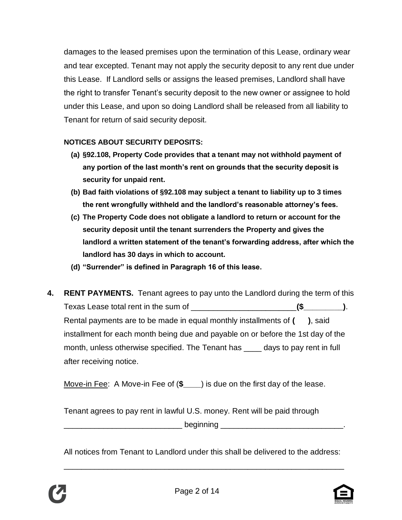damages to the leased premises upon the termination of this Lease, ordinary wear and tear excepted. Tenant may not apply the security deposit to any rent due under this Lease. If Landlord sells or assigns the leased premises, Landlord shall have the right to transfer Tenant's security deposit to the new owner or assignee to hold under this Lease, and upon so doing Landlord shall be released from all liability to Tenant for return of said security deposit.

#### **NOTICES ABOUT SECURITY DEPOSITS:**

- **(a) §92.108, Property Code provides that a tenant may not withhold payment of any portion of the last month's rent on grounds that the security deposit is security for unpaid rent.**
- **(b) Bad faith violations of §92.108 may subject a tenant to liability up to 3 times the rent wrongfully withheld and the landlord's reasonable attorney's fees.**
- **(c) The Property Code does not obligate a landlord to return or account for the security deposit until the tenant surrenders the Property and gives the landlord a written statement of the tenant's forwarding address, after which the landlord has 30 days in which to account.**
- **(d) "Surrender" is defined in Paragraph 16 of this lease.**
- **4. RENT PAYMENTS.** Tenant agrees to pay unto the Landlord during the term of this Texas Lease total rent in the sum of \_\_\_\_\_\_\_\_\_\_\_\_\_\_\_\_\_\_\_\_\_\_\_\_**(\$\_\_\_\_\_\_\_\_\_)**. Rental payments are to be made in equal monthly installments of **( )**, said installment for each month being due and payable on or before the 1st day of the month, unless otherwise specified. The Tenant has \_\_\_\_ days to pay rent in full after receiving notice.

Move-in Fee: A Move-in Fee of (**\$\_\_\_\_**) is due on the first day of the lease.

Tenant agrees to pay rent in lawful U.S. money. Rent will be paid through \_\_\_\_\_\_\_\_\_\_\_\_\_\_\_\_\_\_\_\_\_\_\_\_\_\_\_ beginning \_\_\_\_\_\_\_\_\_\_\_\_\_\_\_\_\_\_\_\_\_\_\_\_\_\_\_\_.

All notices from Tenant to Landlord under this shall be delivered to the address:

\_\_\_\_\_\_\_\_\_\_\_\_\_\_\_\_\_\_\_\_\_\_\_\_\_\_\_\_\_\_\_\_\_\_\_\_\_\_\_\_\_\_\_\_\_\_\_\_\_\_\_\_\_\_\_\_\_\_\_\_\_\_\_\_



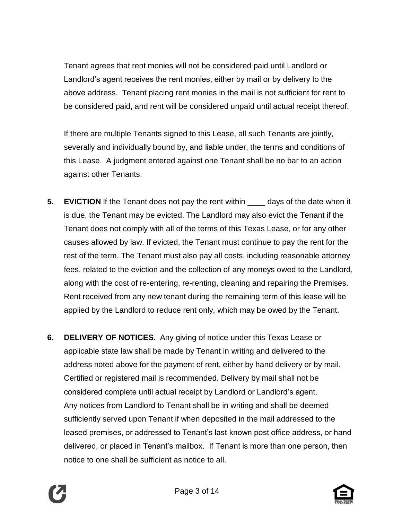Tenant agrees that rent monies will not be considered paid until Landlord or Landlord's agent receives the rent monies, either by mail or by delivery to the above address. Tenant placing rent monies in the mail is not sufficient for rent to be considered paid, and rent will be considered unpaid until actual receipt thereof.

If there are multiple Tenants signed to this Lease, all such Tenants are jointly, severally and individually bound by, and liable under, the terms and conditions of this Lease. A judgment entered against one Tenant shall be no bar to an action against other Tenants.

- **5. EVICTION** If the Tenant does not pay the rent within \_\_\_\_ days of the date when it is due, the Tenant may be evicted. The Landlord may also evict the Tenant if the Tenant does not comply with all of the terms of this Texas Lease, or for any other causes allowed by law. If evicted, the Tenant must continue to pay the rent for the rest of the term. The Tenant must also pay all costs, including reasonable attorney fees, related to the eviction and the collection of any moneys owed to the Landlord, along with the cost of re-entering, re-renting, cleaning and repairing the Premises. Rent received from any new tenant during the remaining term of this lease will be applied by the Landlord to reduce rent only, which may be owed by the Tenant.
- **6. DELIVERY OF NOTICES.** Any giving of notice under this Texas Lease or applicable state law shall be made by Tenant in writing and delivered to the address noted above for the payment of rent, either by hand delivery or by mail. Certified or registered mail is recommended. Delivery by mail shall not be considered complete until actual receipt by Landlord or Landlord's agent. Any notices from Landlord to Tenant shall be in writing and shall be deemed sufficiently served upon Tenant if when deposited in the mail addressed to the leased premises, or addressed to Tenant's last known post office address, or hand delivered, or placed in Tenant's mailbox. If Tenant is more than one person, then notice to one shall be sufficient as notice to all.



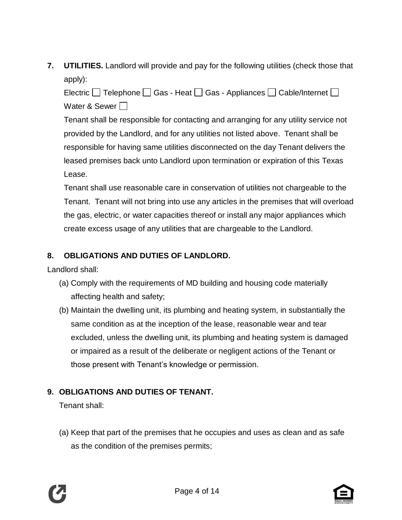**7. UTILITIES.** Landlord will provide and pay for the following utilities (check those that apply):

Electric  $\Box$  Telephone  $\Box$  Gas - Heat  $\Box$  Gas - Appliances  $\Box$  Cable/Internet  $\Box$ Water & Sewer  $\Box$ 

Tenant shall be responsible for contacting and arranging for any utility service not provided by the Landlord, and for any utilities not listed above. Tenant shall be responsible for having same utilities disconnected on the day Tenant delivers the leased premises back unto Landlord upon termination or expiration of this Texas Lease.

Tenant shall use reasonable care in conservation of utilities not chargeable to the Tenant. Tenant will not bring into use any articles in the premises that will overload the gas, electric, or water capacities thereof or install any major appliances which create excess usage of any utilities that are chargeable to the Landlord.

### **8. OBLIGATIONS AND DUTIES OF LANDLORD.**

Landlord shall:

- (a) Comply with the requirements of MD building and housing code materially affecting health and safety;
- (b) Maintain the dwelling unit, its plumbing and heating system, in substantially the same condition as at the inception of the lease, reasonable wear and tear excluded, unless the dwelling unit, its plumbing and heating system is damaged or impaired as a result of the deliberate or negligent actions of the Tenant or those present with Tenant's knowledge or permission.

# **9. OBLIGATIONS AND DUTIES OF TENANT.**

Tenant shall:

(a) Keep that part of the premises that he occupies and uses as clean and as safe as the condition of the premises permits;

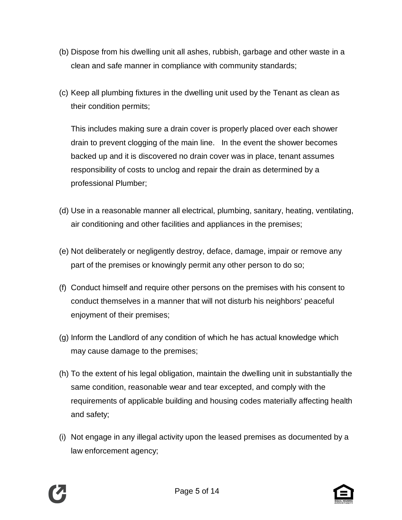- (b) Dispose from his dwelling unit all ashes, rubbish, garbage and other waste in a clean and safe manner in compliance with community standards;
- (c) Keep all plumbing fixtures in the dwelling unit used by the Tenant as clean as their condition permits;

This includes making sure a drain cover is properly placed over each shower drain to prevent clogging of the main line. In the event the shower becomes backed up and it is discovered no drain cover was in place, tenant assumes responsibility of costs to unclog and repair the drain as determined by a professional Plumber;

- (d) Use in a reasonable manner all electrical, plumbing, sanitary, heating, ventilating, air conditioning and other facilities and appliances in the premises;
- (e) Not deliberately or negligently destroy, deface, damage, impair or remove any part of the premises or knowingly permit any other person to do so;
- (f) Conduct himself and require other persons on the premises with his consent to conduct themselves in a manner that will not disturb his neighbors' peaceful enjoyment of their premises;
- (g) Inform the Landlord of any condition of which he has actual knowledge which may cause damage to the premises;
- (h) To the extent of his legal obligation, maintain the dwelling unit in substantially the same condition, reasonable wear and tear excepted, and comply with the requirements of applicable building and housing codes materially affecting health and safety;
- (i) Not engage in any illegal activity upon the leased premises as documented by a law enforcement agency;

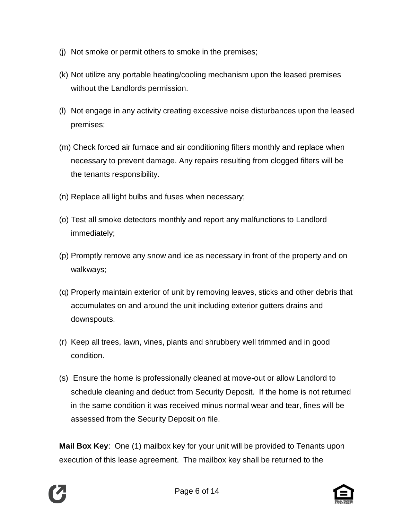- (j) Not smoke or permit others to smoke in the premises;
- (k) Not utilize any portable heating/cooling mechanism upon the leased premises without the Landlords permission.
- (l) Not engage in any activity creating excessive noise disturbances upon the leased premises;
- (m) Check forced air furnace and air conditioning filters monthly and replace when necessary to prevent damage. Any repairs resulting from clogged filters will be the tenants responsibility.
- (n) Replace all light bulbs and fuses when necessary;
- (o) Test all smoke detectors monthly and report any malfunctions to Landlord immediately;
- (p) Promptly remove any snow and ice as necessary in front of the property and on walkways;
- (q) Properly maintain exterior of unit by removing leaves, sticks and other debris that accumulates on and around the unit including exterior gutters drains and downspouts.
- (r) Keep all trees, lawn, vines, plants and shrubbery well trimmed and in good condition.
- (s) Ensure the home is professionally cleaned at move-out or allow Landlord to schedule cleaning and deduct from Security Deposit. If the home is not returned in the same condition it was received minus normal wear and tear, fines will be assessed from the Security Deposit on file.

**Mail Box Key:** One (1) mailbox key for your unit will be provided to Tenants upon execution of this lease agreement. The mailbox key shall be returned to the

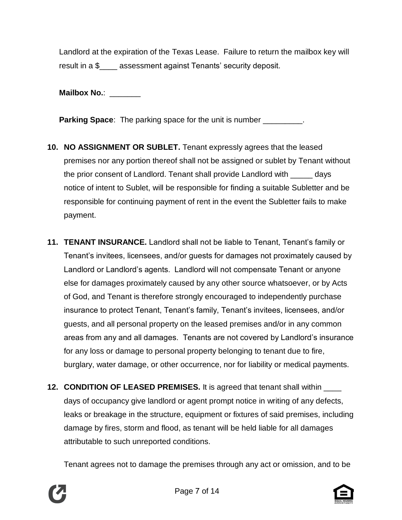Landlord at the expiration of the Texas Lease. Failure to return the mailbox key will result in a \$\_\_\_\_ assessment against Tenants' security deposit.

**Mailbox No.**: \_\_\_\_\_\_\_

**Parking Space:** The parking space for the unit is number \_\_\_\_\_\_\_\_\_.

- **10. NO ASSIGNMENT OR SUBLET.** Tenant expressly agrees that the leased premises nor any portion thereof shall not be assigned or sublet by Tenant without the prior consent of Landlord. Tenant shall provide Landlord with \_\_\_\_\_ days notice of intent to Sublet, will be responsible for finding a suitable Subletter and be responsible for continuing payment of rent in the event the Subletter fails to make payment.
- **11. TENANT INSURANCE.** Landlord shall not be liable to Tenant, Tenant's family or Tenant's invitees, licensees, and/or guests for damages not proximately caused by Landlord or Landlord's agents. Landlord will not compensate Tenant or anyone else for damages proximately caused by any other source whatsoever, or by Acts of God, and Tenant is therefore strongly encouraged to independently purchase insurance to protect Tenant, Tenant's family, Tenant's invitees, licensees, and/or guests, and all personal property on the leased premises and/or in any common areas from any and all damages. Tenants are not covered by Landlord's insurance for any loss or damage to personal property belonging to tenant due to fire, burglary, water damage, or other occurrence, nor for liability or medical payments.
- **12. CONDITION OF LEASED PREMISES.** It is agreed that tenant shall within \_\_\_\_ days of occupancy give landlord or agent prompt notice in writing of any defects, leaks or breakage in the structure, equipment or fixtures of said premises, including damage by fires, storm and flood, as tenant will be held liable for all damages attributable to such unreported conditions.

Tenant agrees not to damage the premises through any act or omission, and to be

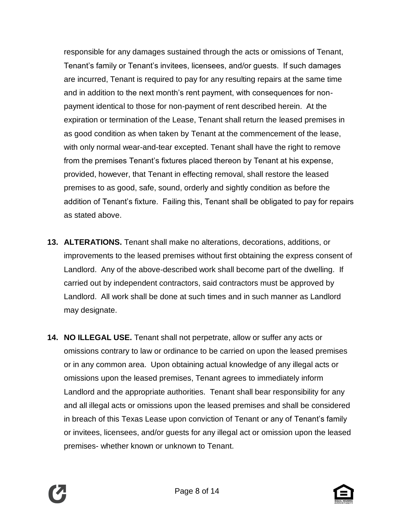responsible for any damages sustained through the acts or omissions of Tenant, Tenant's family or Tenant's invitees, licensees, and/or guests. If such damages are incurred, Tenant is required to pay for any resulting repairs at the same time and in addition to the next month's rent payment, with consequences for nonpayment identical to those for non-payment of rent described herein. At the expiration or termination of the Lease, Tenant shall return the leased premises in as good condition as when taken by Tenant at the commencement of the lease, with only normal wear-and-tear excepted. Tenant shall have the right to remove from the premises Tenant's fixtures placed thereon by Tenant at his expense, provided, however, that Tenant in effecting removal, shall restore the leased premises to as good, safe, sound, orderly and sightly condition as before the addition of Tenant's fixture. Failing this, Tenant shall be obligated to pay for repairs as stated above.

- **13. ALTERATIONS.** Tenant shall make no alterations, decorations, additions, or improvements to the leased premises without first obtaining the express consent of Landlord. Any of the above-described work shall become part of the dwelling. If carried out by independent contractors, said contractors must be approved by Landlord. All work shall be done at such times and in such manner as Landlord may designate.
- **14. NO ILLEGAL USE.** Tenant shall not perpetrate, allow or suffer any acts or omissions contrary to law or ordinance to be carried on upon the leased premises or in any common area. Upon obtaining actual knowledge of any illegal acts or omissions upon the leased premises, Tenant agrees to immediately inform Landlord and the appropriate authorities. Tenant shall bear responsibility for any and all illegal acts or omissions upon the leased premises and shall be considered in breach of this Texas Lease upon conviction of Tenant or any of Tenant's family or invitees, licensees, and/or guests for any illegal act or omission upon the leased premises- whether known or unknown to Tenant.



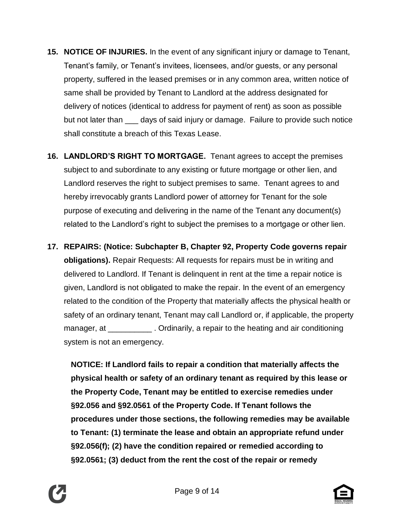- **15. NOTICE OF INJURIES.** In the event of any significant injury or damage to Tenant, Tenant's family, or Tenant's invitees, licensees, and/or guests, or any personal property, suffered in the leased premises or in any common area, written notice of same shall be provided by Tenant to Landlord at the address designated for delivery of notices (identical to address for payment of rent) as soon as possible but not later than \_\_\_ days of said injury or damage. Failure to provide such notice shall constitute a breach of this Texas Lease.
- **16. LANDLORD'S RIGHT TO MORTGAGE.** Tenant agrees to accept the premises subject to and subordinate to any existing or future mortgage or other lien, and Landlord reserves the right to subject premises to same. Tenant agrees to and hereby irrevocably grants Landlord power of attorney for Tenant for the sole purpose of executing and delivering in the name of the Tenant any document(s) related to the Landlord's right to subject the premises to a mortgage or other lien.
- **17. REPAIRS: (Notice: Subchapter B, Chapter 92, Property Code governs repair obligations).** Repair Requests: All requests for repairs must be in writing and delivered to Landlord. If Tenant is delinquent in rent at the time a repair notice is given, Landlord is not obligated to make the repair. In the event of an emergency related to the condition of the Property that materially affects the physical health or safety of an ordinary tenant, Tenant may call Landlord or, if applicable, the property manager, at \_\_\_\_\_\_\_\_\_\_\_\_. Ordinarily, a repair to the heating and air conditioning system is not an emergency.

**NOTICE: If Landlord fails to repair a condition that materially affects the physical health or safety of an ordinary tenant as required by this lease or the Property Code, Tenant may be entitled to exercise remedies under §92.056 and §92.0561 of the Property Code. If Tenant follows the procedures under those sections, the following remedies may be available to Tenant: (1) terminate the lease and obtain an appropriate refund under §92.056(f); (2) have the condition repaired or remedied according to §92.0561; (3) deduct from the rent the cost of the repair or remedy**



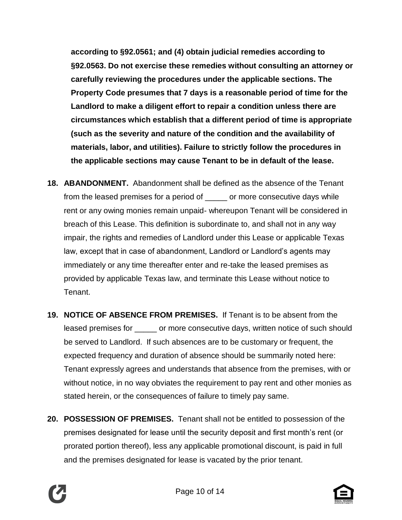**according to §92.0561; and (4) obtain judicial remedies according to §92.0563. Do not exercise these remedies without consulting an attorney or carefully reviewing the procedures under the applicable sections. The Property Code presumes that 7 days is a reasonable period of time for the Landlord to make a diligent effort to repair a condition unless there are circumstances which establish that a different period of time is appropriate (such as the severity and nature of the condition and the availability of materials, labor, and utilities). Failure to strictly follow the procedures in the applicable sections may cause Tenant to be in default of the lease.**

- **18. ABANDONMENT.** Abandonment shall be defined as the absence of the Tenant from the leased premises for a period of \_\_\_\_\_ or more consecutive days while rent or any owing monies remain unpaid- whereupon Tenant will be considered in breach of this Lease. This definition is subordinate to, and shall not in any way impair, the rights and remedies of Landlord under this Lease or applicable Texas law, except that in case of abandonment, Landlord or Landlord's agents may immediately or any time thereafter enter and re-take the leased premises as provided by applicable Texas law, and terminate this Lease without notice to Tenant.
- **19. NOTICE OF ABSENCE FROM PREMISES.** If Tenant is to be absent from the leased premises for \_\_\_\_\_ or more consecutive days, written notice of such should be served to Landlord. If such absences are to be customary or frequent, the expected frequency and duration of absence should be summarily noted here: Tenant expressly agrees and understands that absence from the premises, with or without notice, in no way obviates the requirement to pay rent and other monies as stated herein, or the consequences of failure to timely pay same.
- **20. POSSESSION OF PREMISES.** Tenant shall not be entitled to possession of the premises designated for lease until the security deposit and first month's rent (or prorated portion thereof), less any applicable promotional discount, is paid in full and the premises designated for lease is vacated by the prior tenant.



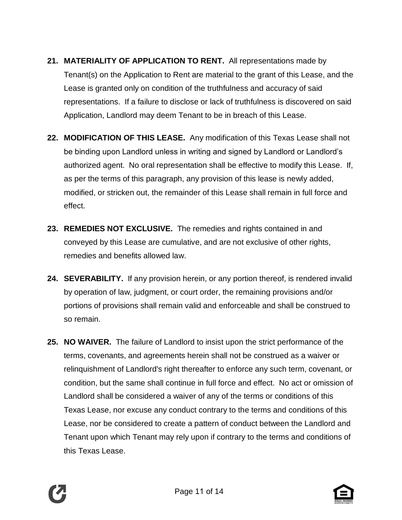- **21. MATERIALITY OF APPLICATION TO RENT.** All representations made by Tenant(s) on the Application to Rent are material to the grant of this Lease, and the Lease is granted only on condition of the truthfulness and accuracy of said representations. If a failure to disclose or lack of truthfulness is discovered on said Application, Landlord may deem Tenant to be in breach of this Lease.
- **22. MODIFICATION OF THIS LEASE.** Any modification of this Texas Lease shall not be binding upon Landlord unless in writing and signed by Landlord or Landlord's authorized agent. No oral representation shall be effective to modify this Lease. If, as per the terms of this paragraph, any provision of this lease is newly added, modified, or stricken out, the remainder of this Lease shall remain in full force and effect.
- **23. REMEDIES NOT EXCLUSIVE.** The remedies and rights contained in and conveyed by this Lease are cumulative, and are not exclusive of other rights, remedies and benefits allowed law.
- **24. SEVERABILITY.** If any provision herein, or any portion thereof, is rendered invalid by operation of law, judgment, or court order, the remaining provisions and/or portions of provisions shall remain valid and enforceable and shall be construed to so remain.
- **25. NO WAIVER.** The failure of Landlord to insist upon the strict performance of the terms, covenants, and agreements herein shall not be construed as a waiver or relinquishment of Landlord's right thereafter to enforce any such term, covenant, or condition, but the same shall continue in full force and effect. No act or omission of Landlord shall be considered a waiver of any of the terms or conditions of this Texas Lease, nor excuse any conduct contrary to the terms and conditions of this Lease, nor be considered to create a pattern of conduct between the Landlord and Tenant upon which Tenant may rely upon if contrary to the terms and conditions of this Texas Lease.



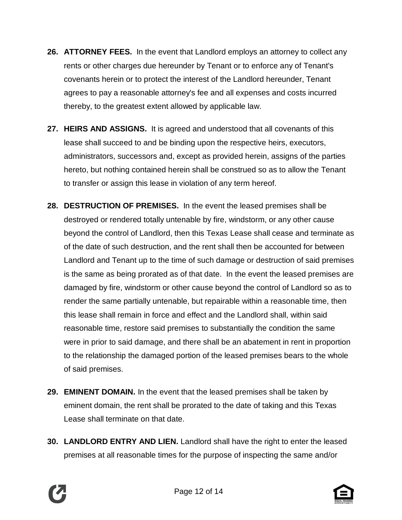- **26. ATTORNEY FEES.** In the event that Landlord employs an attorney to collect any rents or other charges due hereunder by Tenant or to enforce any of Tenant's covenants herein or to protect the interest of the Landlord hereunder, Tenant agrees to pay a reasonable attorney's fee and all expenses and costs incurred thereby, to the greatest extent allowed by applicable law.
- **27. HEIRS AND ASSIGNS.** It is agreed and understood that all covenants of this lease shall succeed to and be binding upon the respective heirs, executors, administrators, successors and, except as provided herein, assigns of the parties hereto, but nothing contained herein shall be construed so as to allow the Tenant to transfer or assign this lease in violation of any term hereof.
- **28. DESTRUCTION OF PREMISES.** In the event the leased premises shall be destroyed or rendered totally untenable by fire, windstorm, or any other cause beyond the control of Landlord, then this Texas Lease shall cease and terminate as of the date of such destruction, and the rent shall then be accounted for between Landlord and Tenant up to the time of such damage or destruction of said premises is the same as being prorated as of that date. In the event the leased premises are damaged by fire, windstorm or other cause beyond the control of Landlord so as to render the same partially untenable, but repairable within a reasonable time, then this lease shall remain in force and effect and the Landlord shall, within said reasonable time, restore said premises to substantially the condition the same were in prior to said damage, and there shall be an abatement in rent in proportion to the relationship the damaged portion of the leased premises bears to the whole of said premises.
- **29. EMINENT DOMAIN.** In the event that the leased premises shall be taken by eminent domain, the rent shall be prorated to the date of taking and this Texas Lease shall terminate on that date.
- **30. LANDLORD ENTRY AND LIEN.** Landlord shall have the right to enter the leased premises at all reasonable times for the purpose of inspecting the same and/or



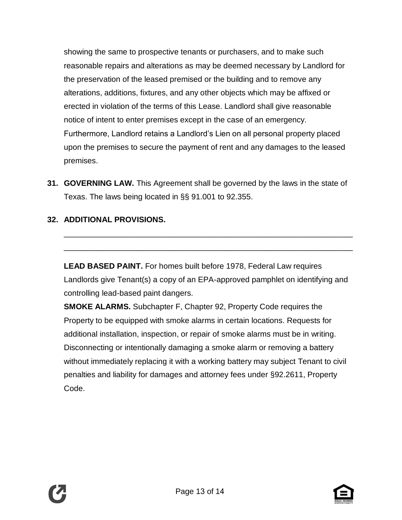showing the same to prospective tenants or purchasers, and to make such reasonable repairs and alterations as may be deemed necessary by Landlord for the preservation of the leased premised or the building and to remove any alterations, additions, fixtures, and any other objects which may be affixed or erected in violation of the terms of this Lease. Landlord shall give reasonable notice of intent to enter premises except in the case of an emergency. Furthermore, Landlord retains a Landlord's Lien on all personal property placed upon the premises to secure the payment of rent and any damages to the leased premises.

**31. GOVERNING LAW.** This Agreement shall be governed by the laws in the state of Texas. The laws being located in §§ 91.001 to 92.355.

## **32. ADDITIONAL PROVISIONS.**

**LEAD BASED PAINT.** For homes built before 1978, Federal Law requires Landlords give Tenant(s) a copy of an EPA-approved pamphlet on identifying and controlling lead-based paint dangers.

\_\_\_\_\_\_\_\_\_\_\_\_\_\_\_\_\_\_\_\_\_\_\_\_\_\_\_\_\_\_\_\_\_\_\_\_\_\_\_\_\_\_\_\_\_\_\_\_\_\_\_\_\_\_\_\_\_\_\_\_\_\_\_\_\_\_

\_\_\_\_\_\_\_\_\_\_\_\_\_\_\_\_\_\_\_\_\_\_\_\_\_\_\_\_\_\_\_\_\_\_\_\_\_\_\_\_\_\_\_\_\_\_\_\_\_\_\_\_\_\_\_\_\_\_\_\_\_\_\_\_\_\_

**SMOKE ALARMS.** Subchapter F, Chapter 92, Property Code requires the Property to be equipped with smoke alarms in certain locations. Requests for additional installation, inspection, or repair of smoke alarms must be in writing. Disconnecting or intentionally damaging a smoke alarm or removing a battery without immediately replacing it with a working battery may subject Tenant to civil penalties and liability for damages and attorney fees under §92.2611, Property Code.